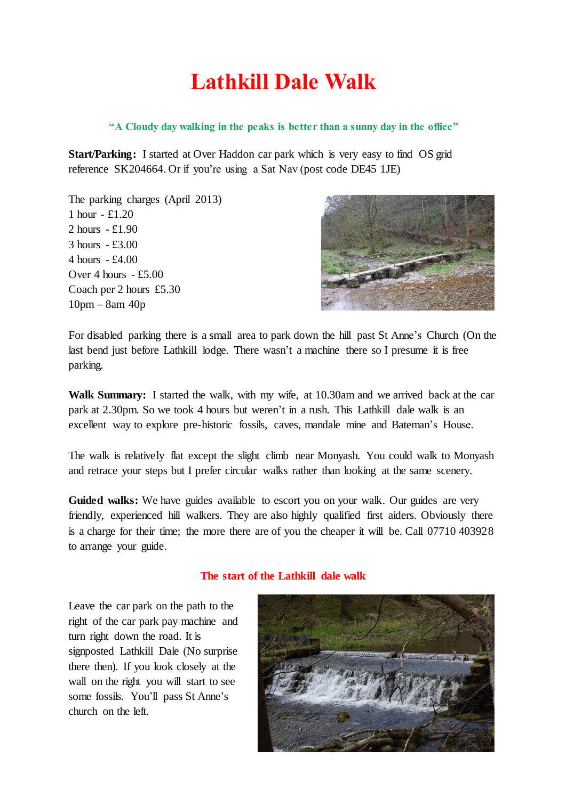## **Lathkill Dale Walk**

## **"A Cloudy day walking in the peaks is better than a sunny day in the office"**

**Start/Parking:** I started at Over Haddon car park which is very easy to find OS grid reference SK204664. Or if you're using a Sat Nav (post code DE45 1JE)

The parking charges (April 2013) 1 hour - £1.20 2 hours - £1.90 3 hours - £3.00 4 hours - £4.00 Over 4 hours - £5.00 Coach per 2 hours £5.30 10pm – 8am 40p



For disabled parking there is a small area to park down the hill past St Anne's Church (On the last bend just before Lathkill lodge. There wasn't a machine there so I presume it is free parking.

**Walk Summary:** I started the walk, with my wife, at 10.30am and we arrived back at the car park at 2.30pm. So we took 4 hours but weren't in a rush. This Lathkill dale walk is an excellent way to explore pre-historic fossils, caves, mandale mine and Bateman's House.

The walk is relatively flat except the slight climb near Monyash. You could walk to Monyash and retrace your steps but I prefer circular walks rather than looking at the same scenery.

**Guided walks:** We have [guides available to escort you on your walk.](http://www.near-chesterfield-derbyshire.com/guided-walks-peak-district.html) Our guides are very friendly, experienced hill walkers. They are also highly qualified first aiders. Obviously there is a charge for their time; the more there are of you the cheaper it will be. Call 07710 403928 to [arrange your guide.](http://www.near-chesterfield-derbyshire.com/contact-near-chesterfield-derbyshire.html)

## **The start of the Lathkill dale walk**

Leave the car park on the path to the right of the car park pay machine and turn right down the road. It is signposted Lathkill Dale (No surprise there then). If you look closely at the wall on the right you will start to see some fossils. You'll pass St Anne's church on the left.

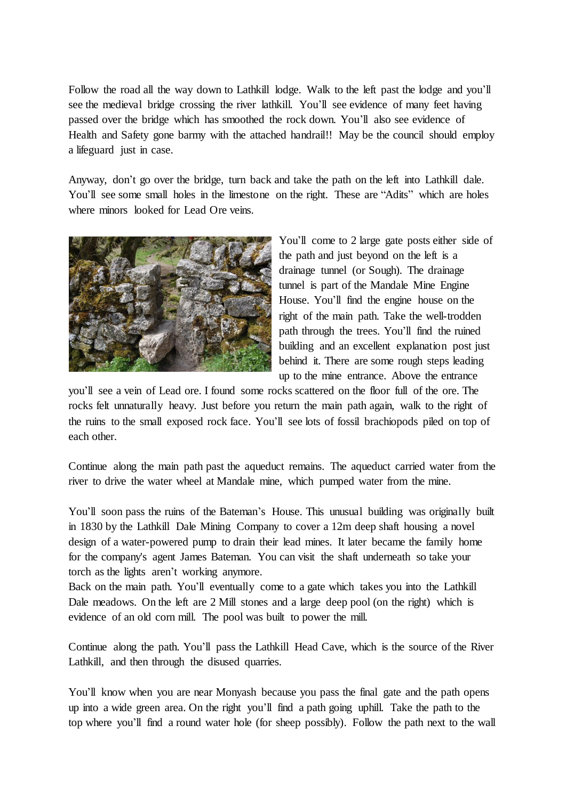Follow the road all the way down to Lathkill lodge. Walk to the left past the lodge and you'll see the medieval bridge crossing the river lathkill. You'll see evidence of many feet having passed over the bridge which has smoothed the rock down. You'll also see evidence of Health and Safety gone barmy with the attached handrail!! May be the council should employ a lifeguard just in case.

Anyway, don't go over the bridge, turn back and take the path on the left into Lathkill dale. You'll see some small holes in the limestone on the right. These are "Adits" which are holes where minors looked for Lead Ore veins.



You'll come to 2 large gate posts either side of the path and just beyond on the left is a drainage tunnel (or Sough). The drainage tunnel is part of the Mandale Mine Engine House. You'll find the engine house on the right of the main path. Take the well-trodden path through the trees. You'll find the ruined building and an excellent explanation post just behind it. There are some rough steps leading up to the mine entrance. Above the entrance

you'll see a vein of Lead ore. I found some rocks scattered on the floor full of the ore. The rocks felt unnaturally heavy. Just before you return the main path again, walk to the right of the ruins to the small exposed rock face. You'll see lots of fossil brachiopods piled on top of each other.

Continue along the main path past the aqueduct remains. The aqueduct carried water from the river to drive the water wheel at Mandale mine, which pumped water from the mine.

You'll soon pass the ruins of the Bateman's House. This unusual building was originally built in 1830 by the Lathkill Dale Mining Company to cover a 12m deep shaft housing a novel design of a water-powered pump to drain their lead mines. It later became the family home for the company's agent James Bateman. You can visit the shaft underneath so take your torch as the lights aren't working anymore.

Back on the main path. You'll eventually come to a gate which takes you into the Lathkill Dale meadows. On the left are 2 Mill stones and a large deep pool (on the right) which is evidence of an old corn mill. The pool was built to power the mill.

Continue along the path. You'll pass the Lathkill Head Cave, which is the source of the River Lathkill, and then through the disused quarries.

You'll know when you are near Monyash because you pass the final gate and the path opens up into a wide green area. On the right you'll find a path going uphill. Take the path to the top where you'll find a round water hole (for sheep possibly). Follow the path next to the wall